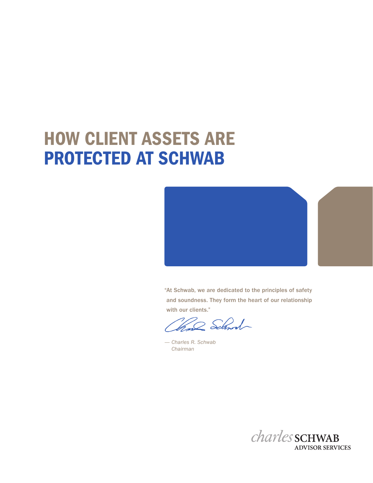# HOW CLIENT ASSETS ARE PROTECTED AT SCHWAB



"At Schwab, we are dedicated to the principles of safety and soundness. They form the heart of our relationship with our clients."

22 School

*— Charles R. Schwab Chairman* 

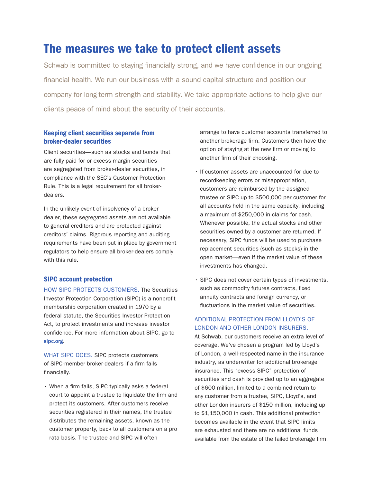# The measures we take to protect client assets

Schwab is committed to staying financially strong, and we have confidence in our ongoing financial health. We run our business with a sound capital structure and position our company for long-term strength and stability. We take appropriate actions to help give our clients peace of mind about the security of their accounts.

# Keeping client securities separate from broker-dealer securities

Client securities—such as stocks and bonds that are fully paid for or excess margin securities are segregated from broker-dealer securities, in compliance with the SEC's Customer Protection Rule. This is a legal requirement for all brokerdealers.

In the unlikely event of insolvency of a brokerdealer, these segregated assets are not available to general creditors and are protected against creditors' claims. Rigorous reporting and auditing requirements have been put in place by government regulators to help ensure all broker-dealers comply with this rule.

### SIPC account protection

HOW SIPC PROTECTS CUSTOMERS. The Securities Investor Protection Corporation (SIPC) is a nonprofit membership corporation created in 1970 by a federal statute, the Securities Investor Protection Act, to protect investments and increase investor confidence. For more information about SIPC, go to [sipc.org](http://sipc.org).

WHAT SIPC DOES. SIPC protects customers of SIPC-member broker-dealers if a firm fails financially.

• When a firm fails, SIPC typically asks a federal court to appoint a trustee to liquidate the firm and protect its customers. After customers receive securities registered in their names, the trustee distributes the remaining assets, known as the customer property, back to all customers on a pro rata basis. The trustee and SIPC will often

arrange to have customer accounts transferred to another brokerage firm. Customers then have the option of staying at the new firm or moving to another firm of their choosing.

- • If customer assets are unaccounted for due to recordkeeping errors or misappropriation, customers are reimbursed by the assigned trustee or SIPC up to \$500,000 per customer for all accounts held in the same capacity, including a maximum of \$250,000 in claims for cash. Whenever possible, the actual stocks and other securities owned by a customer are returned. If necessary, SIPC funds will be used to purchase replacement securities (such as stocks) in the open market—even if the market value of these investments has changed.
- SIPC does not cover certain types of investments, such as commodity futures contracts, fixed annuity contracts and foreign currency, or fluctuations in the market value of securities.

## ADDITIONAL PROTECTION FROM LLOYD'S OF LONDON AND OTHER LONDON INSURERS.

At Schwab, our customers receive an extra level of coverage. We've chosen a program led by Lloyd's of London, a well-respected name in the insurance industry, as underwriter for additional brokerage insurance. This "excess SIPC" protection of securities and cash is provided up to an aggregate of \$600 million, limited to a combined return to any customer from a trustee, SIPC, Lloyd's, and other London insurers of \$150 million, including up to \$1,150,000 in cash. This additional protection becomes available in the event that SIPC limits are exhausted and there are no additional funds available from the estate of the failed brokerage firm.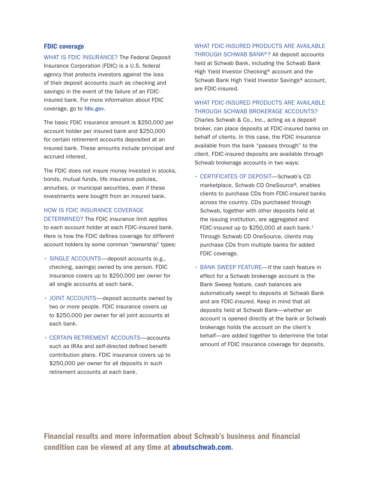#### FDIC coverage

WHAT IS FDIC INSURANCE? The Federal Deposit Insurance Corporation (FDIC) is a U.S. federal agency that protects investors against the loss of their deposit accounts (such as checking and savings) in the event of the failure of an FDICinsured bank. For more information about FDIC coverage, go to [fdic.gov](http://fdic.gov).

The basic FDIC insurance amount is \$250,000 per account holder per insured bank and \$250,000 for certain retirement accounts deposited at an insured bank. These amounts include principal and accrued interest.

The FDIC does not insure money invested in stocks, bonds, mutual funds, life insurance policies, annuities, or municipal securities, even if these investments were bought from an insured bank.

#### HOW IS FDIC INSURANCE COVERAGE

DETERMINED? The FDIC insurance limit applies to each account holder at each FDIC-insured bank. Here is how the FDIC defines coverage for different account holders by some common "ownership" types:

- SINGLE ACCOUNTS-deposit accounts (e.g., checking, savings) owned by one person. FDIC insurance covers up to \$250,000 per owner for all single accounts at each bank.
- JOINT ACCOUNTS-deposit accounts owned by two or more people. FDIC insurance covers up to \$250,000 per owner for all joint accounts at each bank.
- CERTAIN RETIREMENT ACCOUNTS-accounts such as IRAs and self-directed defined benefit contribution plans. FDIC insurance covers up to \$250,000 per owner for all deposits in such retirement accounts at each bank.

WHAT FDIC-INSURED PRODUCTS ARE AVAILABLE THROUGH SCHWAB BANK®? All deposit accounts held at Schwab Bank, including the Schwab Bank High Yield Investor Checking® account and the Schwab Bank High Yield Investor Savings® account, are FDIC-insured.

# WHAT FDIC-INSURED PRODUCTS ARE AVAILABLE THROUGH SCHWAB BROKERAGE ACCOUNTS?

Charles Schwab & Co., Inc., acting as a deposit broker, can place deposits at FDIC-insured banks on behalf of clients. In this case, the FDIC insurance available from the bank "passes through" to the client. FDIC-insured deposits are available through Schwab brokerage accounts in two ways:

- • CERTIFICATES OF DEPOSIT—Schwab's CD marketplace, Schwab CD OneSource® , enables clients to purchase CDs from FDIC-insured banks across the country. CDs purchased through Schwab, together with other deposits held at the issuing institution, are aggregated and FDIC-insured up to \$250,000 at each bank.<sup>1</sup> Through Schwab CD OneSource, clients may purchase CDs from multiple banks for added FDIC coverage.
- BANK SWEEP FEATURE—If the cash feature in effect for a Schwab brokerage account is the Bank Sweep feature, cash balances are automatically swept to deposits at Schwab Bank and are FDIC-insured. Keep in mind that all deposits held at Schwab Bank—whether an account is opened directly at the bank or Schwab brokerage holds the account on the client's behalf—are added together to determine the total amount of FDIC insurance coverage for deposits.

Financial results and more information about Schwab's business and financial condition can be viewed at any time at [aboutschwab.com.](http://aboutschwab.com)